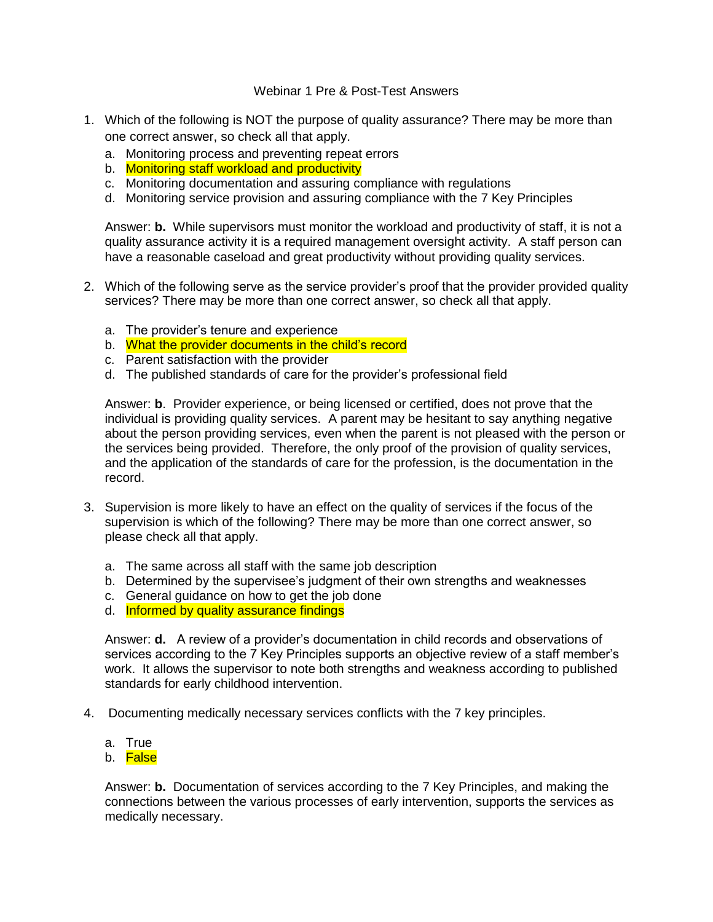## Webinar 1 Pre & Post-Test Answers

- 1. Which of the following is NOT the purpose of quality assurance? There may be more than one correct answer, so check all that apply.
	- a. Monitoring process and preventing repeat errors
	- b. Monitoring staff workload and productivity
	- c. Monitoring documentation and assuring compliance with regulations
	- d. Monitoring service provision and assuring compliance with the 7 Key Principles

Answer: **b.** While supervisors must monitor the workload and productivity of staff, it is not a quality assurance activity it is a required management oversight activity. A staff person can have a reasonable caseload and great productivity without providing quality services.

- 2. Which of the following serve as the service provider's proof that the provider provided quality services? There may be more than one correct answer, so check all that apply.
	- a. The provider's tenure and experience
	- b. What the provider documents in the child's record
	- c. Parent satisfaction with the provider
	- d. The published standards of care for the provider's professional field

Answer: **b**. Provider experience, or being licensed or certified, does not prove that the individual is providing quality services. A parent may be hesitant to say anything negative about the person providing services, even when the parent is not pleased with the person or the services being provided. Therefore, the only proof of the provision of quality services, and the application of the standards of care for the profession, is the documentation in the record.

- 3. Supervision is more likely to have an effect on the quality of services if the focus of the supervision is which of the following? There may be more than one correct answer, so please check all that apply.
	- a. The same across all staff with the same job description
	- b. Determined by the supervisee's judgment of their own strengths and weaknesses
	- c. General guidance on how to get the job done
	- d. Informed by quality assurance findings

Answer: **d.** A review of a provider's documentation in child records and observations of services according to the 7 Key Principles supports an objective review of a staff member's work. It allows the supervisor to note both strengths and weakness according to published standards for early childhood intervention.

- 4. Documenting medically necessary services conflicts with the 7 key principles.
	- a. True
	- b. <mark>False</mark>

Answer: **b.** Documentation of services according to the 7 Key Principles, and making the connections between the various processes of early intervention, supports the services as medically necessary.